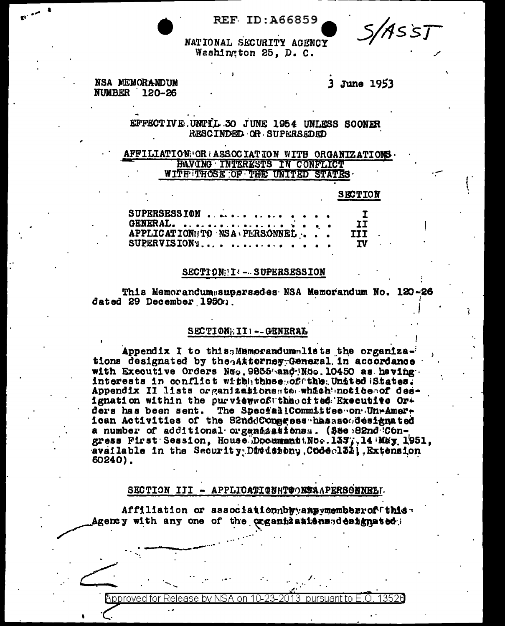**REF ID:A66859** 

S/Asst

NATIONAL SECURITY AGENCY Washington 25, D. C.

NSA MEMORANDUM **NUMBER 120-26** 

3 June 1953

## EFFECTIVE UNTIL 30 JUNE 1954 UNLESS SOONER RESCINDED OR SUPERSEDED

## AFFILIATION: OR : ASSOCIATION WITH ORGANIZATIONS HAVING INTERESTS IN CONFLICT WITH THOSE OF THE UNITED STATES

### **SECTION**

| SUPERSESSION                 | I.   |
|------------------------------|------|
|                              | II.  |
| APPLICATION TO NSA PLRSONNEL | III. |
| SUPERVISION'S                | TV.  |

### SECTION: I :- SUPERSESSION

This Memorandumasupersedes NSA Memorandum No. 120-26 dated 29 December 1950a.

### SECTION; III -- GENERAE

Appendix I to this Mamorandummlists the organizations designated by the attorney General in accordance with Executive Orders Neg. 9865 and No. 10450 as having interests in conflict withhthose of the United States. Appendix II lists organizationssterwhich notice of designation within the purviewwofitheocited Executive Orders has been sent. The Special! Committee on UnrAmerican Activities of the S2nddConeress hasssociesignated a number of additional organizations.. (See 82nd Congress First Session. House Document No. 1377.14 May 1951. available in the Security Division, Codecl31, Extension 60240).

## SECTION III - APPLICATIONNTOONSAAPERSONNEET.

Affiliation or associationnbyyany ungember of fthis Agency with any one of the organizationssidesignated:

#### pursuant to  $E.O$ pproved for Release by NSA on-10-23-2013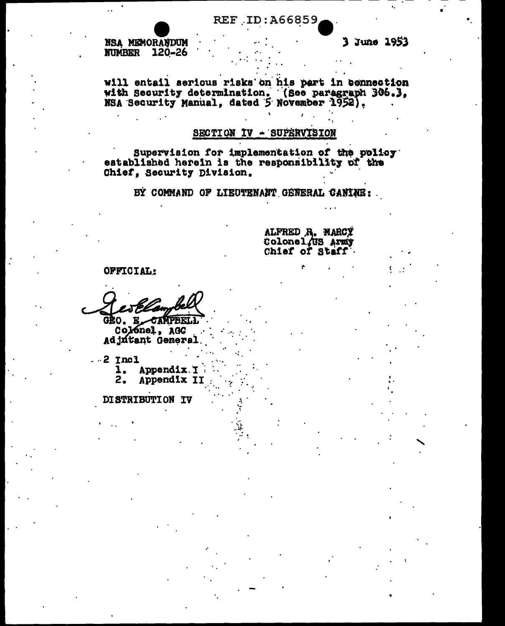NSA MEMORANDUM **NUMBER 120-26** 

will entail serious risks on his part in connection with Security determination. (See paragraph 306.3,

## SECTION IV - SUPERVISION

Supervision for implementation of the policy established herein is the responsibility of the Chief, Security Division.

BY COMMAND OF LIEUTENANT GENERAL CANINE:

ALFRED R. MARCY Colonel.US Army<br>Chief of Staff

OFFICIAL:

esPl

GRO. E\_CAMPBELL Colonel, AGC Adjutant General

 $-2$  Incl

1. Appendix. I  $2.$ Appendix II

DISTRIBUTION IV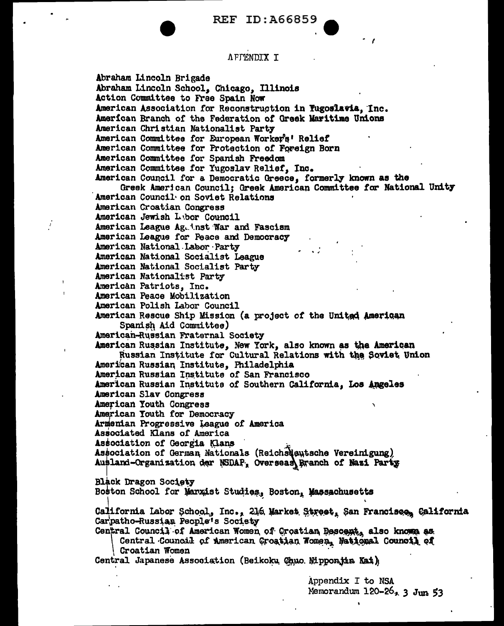### AFFENDIX I

Abraham Lincoln Brigade Abraham Lincoln School, Chicago, Illinois Action Committee to Free Spain Now American Association for Reconstruction in Tugoslavia, Inc. American Branch of the Federation of Greek Maritime Unions American Christian Nationalist Party American Committee for European Worker's' Relief American Committee for Protection of Foreign Born American Committee for Spanish Freedom American Committee for Yugoslav Relief. Inc. American Council for a Democratic Greece, formerly known as the Greek American Council; Greek American Committee for National Unity American Council on Soviet Relations American Croatian Congress American Jewish Lebor Council American League Ag. inst War and Fascism American League for Peace and Democracy American National Labor Party American National Socialist League American National Socialist Party American Nationalist Party American Patriots, Inc. American Peace Mobilization American Polish Labor Council American Rescue Ship Mission (a project of the United American Spanish Aid Committee) American-Russian Fraternal Society American Russian Institute, New York, also known as the American Russian Institute for Cultural Relations with the Soviet Union American Russian Institute, Philadelphia American Russian Institute of San Francisco American Russian Institute of Southern California, Los Angeles American Slav Congress American Youth Congress American Youth for Democracy Armenian Progressive League of America Associated Klans of America Association of Georgia Klans Association of German Nationals (ReichsNautsche Vereinigung) Ausland-Organization der NSDAP, Overseas Branch of Nazi Party Black Dragon Society Boston School for Marxist Studies, Boston, Massachusetts California Labor School, Inc., 216 Market Street, San Francisco, California Carpatho-Russian People's Society Central Council of American Women of Croatian Descent, also known as Central Council of American Croatian Women, National Council of Croatian Women Central Japanese Association (Beikoku Chuo Mipponjin Kai)

Appendix I to NSA Memorandum  $120-26$ ,  $3 \text{ J}$ un 53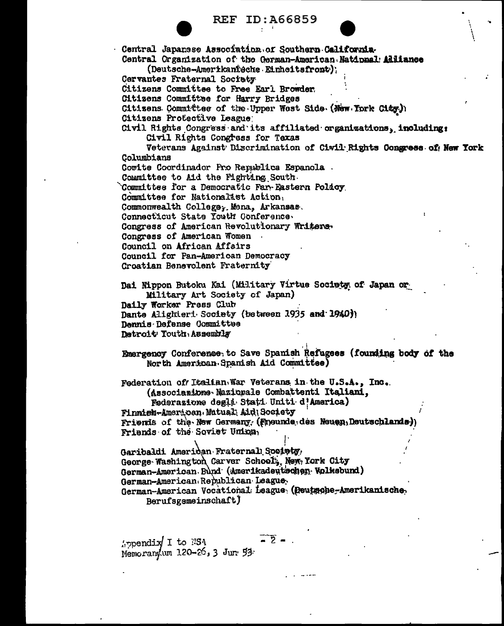| <b>REF</b> | ID:A66859 |  |  |  |  |
|------------|-----------|--|--|--|--|
|------------|-----------|--|--|--|--|

Central Japanese Association of Southern California-Central Organization of the German-American National Alliance (Deutsche-Amerikanieche Einheitsfront); Cervantes Fraternal Society Citizens Committee to Free Earl Browder. Citizens Committee for Harry Bridges Citizens Committee of the Upper West Side (New York City)) Citizens Protective League Civil Rights Congress and its affiliated organizations, including: Civil Rights Congress for Texas Veterans Against Discrimination of Ciwil Rights Congress of New York Columbians Cowite Coordinador Pro Republica Espanola. Committee to Aid the Fighting South. Committee for a Democratic Far-Eastern Policy. Committee for Nationalist Action, Commonwealth College, Mena, Arkansas. Connecticut State Youth Conference. Congress of American Revolutionary Writens. Congress of American Women Council on African Affairs Council for Pan-American Democracy Croatian Benevolent Fraternity Dai Nippon Butoku Kai (Military Virtue Society of Japan or Military Art Society of Japan) Daily Worker Press Club Dante Alighteri Society (between 1935 and 1940) Dennis Defense Committee Detroit Youth Assembly Emergency Conference, to Save Spanish Refugees (founding body of the North American Spanish Aid Committee) Federation of Italian War Veterans in the U.S.A., Inc. (Associazione Mazionale Combattenti Italiani, Federazione degli Stati Uniti d'America) Finnieh-American Mutual Aid Society Friends of the New Germany (Freunde des Neuen Deutschlands) Friends of the Soviet Union, Garibaldi Ameridan Fraternall Society, George Washington Carver School, New York City German-American Bund (Amerikadeutschen Volksbund) German-American Republican League. German-American Vocational League (Deutsche-Amerikanische. Berufsgemeinschaft)

 $\overline{2}$  – ppendix I to NSA Memorangum 120-26, 3 Jun 53.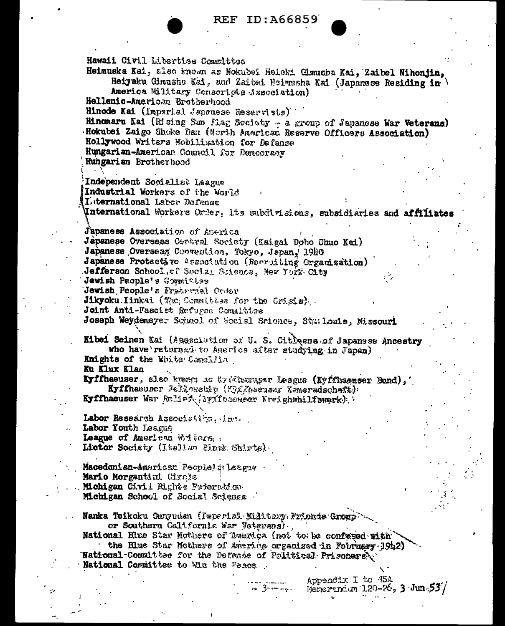Hawaii Civil Liberties Committee Heimuska Kal, also known as Nokubei Heicki Cimusha Kai, Zaibel Nihonjin, Heiyaku Cimusho Kai, and Zalbei Heimusha Kai (Japanese Residing in America Military Conseriots Association) Hellenic-American Brotherhood Hinode Kai (Imperial Japanese Reservists) Hingmaru Kai (Rising Sun Flag Society - a group of Japanese War Veterans) Hokubei Zaigo Shoke Dan (North American Reserve Officers Association) Hollywood Writers Mobilization for Defense Hungarian-American Council for Democracy Hungarian Brotherhood Independent Socialist Laague Industrial Workers of the World Laternational Labor Defense Unternational Workers Order, its subdivisions, subsidiaries and affiliates J'apanese Association of America Japanese Overseas Central Society (Kaigai Dobo Chuo Kai) Japanese Overseas Convention, Tokyo, Japan, 1980 Japanese Protective Association (Recruiting Organization) Jefferson School, of Social Science, New York City Jewish People's Gommittee Jewish People's Fraternal Cross Jikyoku Iinkai (The Committes for the Grisia). Joint Anti-Fascist Refugse Comalitee Joseph Weydemsyer School of Secial Science, Starlouis, Missouri Kibei Seinen Kai (Asseciation of U.S. Citigens of Japanese Ancestry who have returned to Americs after studying in Japan) Knights of the White Camellia Ku Klux Klan Kyffhaeuser, also kwen as Syffhasassr League (Kyffhaeuser Bund),' Kyffhaeuser Jelkowsky (Myffhaeusar Kemeradschaft): Kyffhaeuser War Relief (Awitbaeuser Kreighshilfswerk) ) Labor Research Associstion, inc. Labor Youth Laague League of American Writers. Lictor Society (Italian Plack Shirts). Macedonian-American People's lazgue Mario Morgantini Circle Michigan Civil Bights Federation Michigan School of Social Science Nanka Teikoku Guuyudan (Imperial Military Frienda Group). or Southern California War Veterans). National Blue Star Mothers of America (not to be confused with the Blue Star Mothers of America organized in Fournary 1942) National Committee for the Defence of Political Prisoners. National Committee to Win the Peace. Appendix I to M5A Memorandum  $120-26$ ,  $3 \cdot \text{Jun}$  $53'$ . 3-a . . .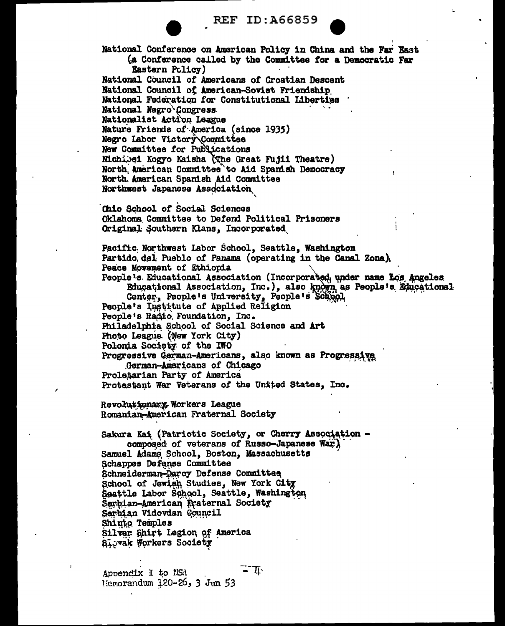National Conference on American Policy in China and the Far East (a Conference called by the Committee for a Democratic Far Eastern Policy) National Council of Americans of Croatian Descent National Council of American-Soviet Friendship National Federation for Constitutional Liberties National Negro Congress Nationalist Action League Nature Friends of America (since 1935) Negro Labor Victory Committee New Committee for Publications Michibei Kogyo Kaisha (The Great Fujii Theatre) North American Committee to Aid Spanish Democracy North American Spanish Aid Committee Northwest Japanese Association Chio School of Social Sciences Oklahoma Committee to Defend Political Prisoners Original Southern Klans, Incorporated Pacific Northwest Labor School, Seattle, Washington Partido del Pueblo of Panama (operating in the Canal Zone). Peace Movement of Ethiopia People's Educational Association (Incorporated under name Los Angeles Educational Association, Inc.), also known as People's Educational Center, People's University, People's School People's Institute of Applied Religion People's Radio Foundation, Inc. Philadelphia School of Social Science and Art Photo League. (New York City) Polonia Society of the IWO Progressive German-Americans, also known as Progressive German-Americans of Chicago Proletarian Party of America Protestant War Veterans of the United States, Inc. Revolutionary Workers League Romanian-American Fraternal Society Sakura Kai (Patriotic Society, or Cherry Association composed of veterans of Russo-Japanese War) Samuel Adams School, Boston, Massachusetts Schappes Defense Committee Schneiderman-Darcy Defense Committee School of Jewish Studies, New York City Seattle Labor School, Seattle, Washington Serbian-American Fraternal Society Serbian Vidovdan Council Shinto Temples Silver Shirt Legion of America Sibvak Workers Society  $\tau_{\rm L}$ 

Appendix I to NSA Hemorandum  $120-26$ , 3 Jun 53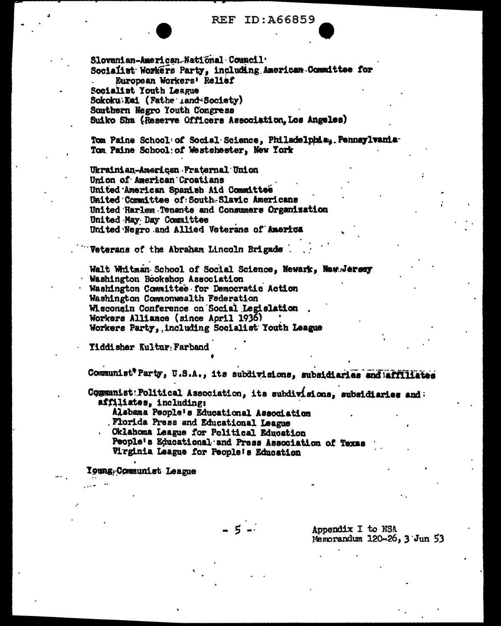Slovenian-American National Conneil. Socialist Workers Party, including American Committee for European Workers' Relief Socialist Youth League Sokoku Kai (Fathe Land-Society) Southern Negro Youth Congress Suiko Sha (Reserve Officers Association, Los Angeles)

Tom Paine School: of Social Science, Philadelphia, Pennsylvania Tom Paine School: of Westchester. New York

Ukrainian-American Fraternal Union Union of American Croatians United American Spanish Aid Committee United Committee of South Slavic Americans United Harlem Tenants and Consumers Organization United May Day Committee United Negro and Allied Veterans of America

Veterans of the Abraham Lincoln Brigade.

Walt Whitman School of Social Science. Newark. New Jersey Washington Bookshop Association Washington Committee for Democratic Action Washington Commonwealth Federation Wisconsin Conference on Social Legislation Workers Alliance (since April 1936) Workers Party, including Socialist Youth League

Yiddisher Kultur Farband

Communist<sup>e</sup> Party, U.S.A., its subdivisions, subsidiaries and affiliates

Communist: Political Association, its subdivisions, subsidiaries and: affiliates, including;

Alabama People's Educational Association

Florida Press and Educational League

Oklahoma League for Political Education

People's Educational and Press Association of Texas Virginia League for People's Education

**Young-Communist League** 

Appendix I to NSA Memorandum 120-26, 3 Jun 53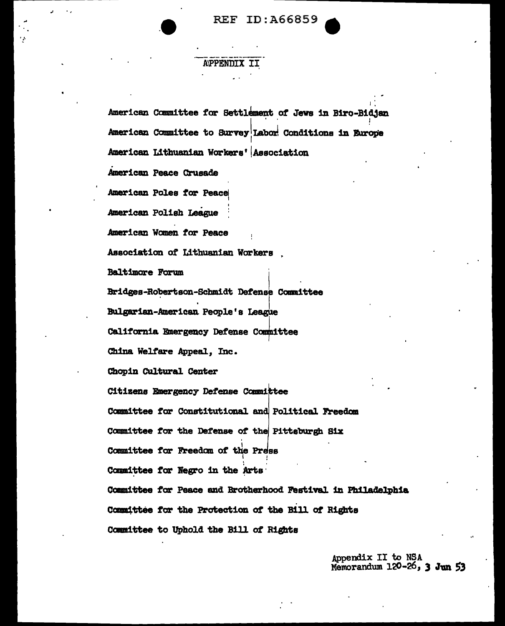**REF ID: A66859** 

## **APPENDIX**

American Committee for Settlement of Jews in Biro-Bidjan American Committee to Survey Labor Conditions in Europe American Lithuanian Workers' Association American Peace Crusade American Poles for Peace American Polish League American Women for Peace Association of Lithuanian Workers, **Baltimore Forum** Bridges-Robertson-Schmidt Defense Committee Bulgarian-American People's League California Emergency Defense Committee China Welfare Appeal, Inc. Chopin Cultural Center Citizens Emergency Defense Committee Committee for Constitutional and Political Freedom Committee for the Defense of the Pittsburgh Six Committee for Freedom of the Press Committee for Negro in the Arts Committee for Peace and Brotherhood Festival in Philadelphia Committee for the Protection of the Bill of Rights Committee to Uphold the Bill of Rights

> Appendix II to NSA Memorandum 120-26, 3 Jun 53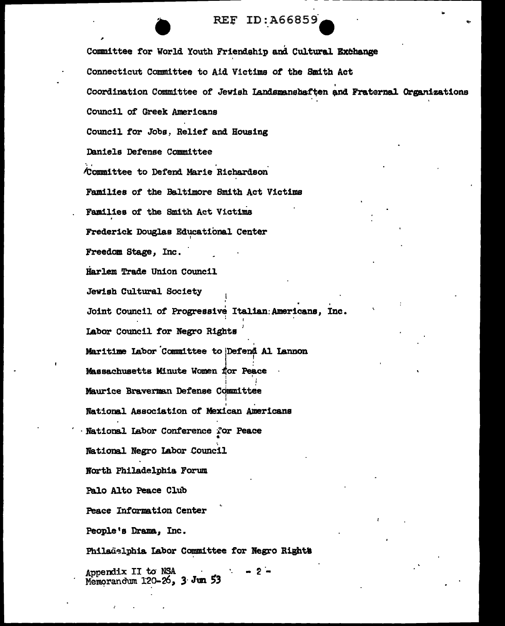Committee for World Youth Friendship and Cultural Exchange Connecticut Committee to Aid Victims of the Smith Act Coordination Committee of Jewish Landsmanshaften and Fraternal Organizations Council of Greek Americans Council for Jobs, Relief and Housing Daniels Defense Committee Committee to Defend Marie Richardson Families of the Baltimore Smith Act Victims Families of the Smith Act Victims Frederick Douglas Educational Center Freedom Stage, Inc. Harlem Trade Union Council Jewish Cultural Society Joint Council of Progressive Italian Americans. Inc. Labor Council for Negro Rights Maritime Labor Committee to Defend Al Lannon Massachusetts Minute Women for Peace Maurice Braverman Defense Committee National Association of Mexican Americans National Labor Conference for Peace National Negro Labor Council North Philadelphia Forum Palo Alto Peace Club **Peace Information Center** People's Drama. Inc. Philadelphia Labor Committee for Negro Rights

Appendix II to NSA<br>Memorandum 120-26, 3 Jun 53